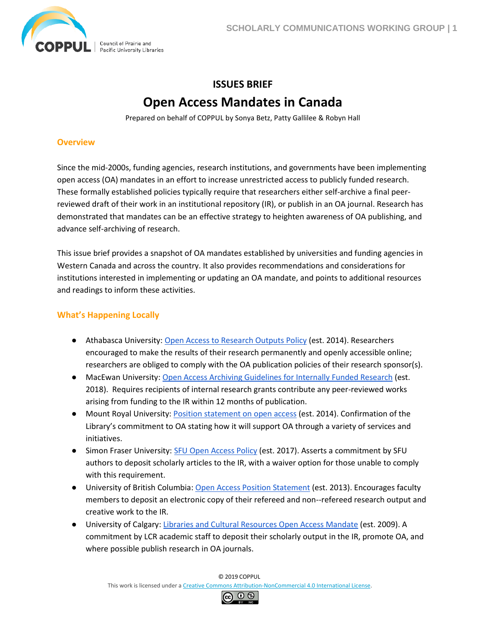

# **ISSUES BRIEF Open Access Mandates in Canada**

Prepared on behalf of COPPUL by Sonya Betz, Patty Gallilee & Robyn Hall

#### **Overview**

Since the mid-2000s, funding agencies, research institutions, and governments have been implementing open access (OA) mandates in an effort to increase unrestricted access to publicly funded research. These formally established policies typically require that researchers either self-archive a final peerreviewed draft of their work in an institutional repository (IR), or publish in an OA journal. Research has demonstrated that mandates can be an effective strategy to heighten awareness of OA publishing, and advance self-archiving of research.

This issue brief provides a snapshot of OA mandates established by universities and funding agencies in Western Canada and across the country. It also provides recommendations and considerations for institutions interested in implementing or updating an OA mandate, and points to additional resources and readings to inform these activities.

### **What's Happening Locally**

- Athabasca University: [Open Access to Research Outputs Policy](http://ous.athabascau.ca/policy/research/openaccess.pdf) (est. 2014). Researchers encouraged to make the results of their research permanently and openly accessible online; researchers are obliged to comply with the OA publication policies of their research sponsor(s).
- MacEwan University[: Open Access Archiving Guidelines for Internally Funded Research](https://www.macewan.ca/contribute/groups/public/documents/document/dwlk/zwxp/~edisp/oa_archiving_guidelines.pdf) (est. 2018). Requires recipients of internal research grants contribute any peer-reviewed works arising from funding to the IR within 12 months of publication.
- Mount Royal University[: Position statement on open access](https://library.mtroyal.ca/ld.php?content_id=33881428) (est. 2014). Confirmation of the Library's commitment to OA stating how it will support OA through a variety of services and initiatives.
- Simon Fraser University: [SFU Open Access Policy](https://www.lib.sfu.ca/help/publish/scholarly-publishing/open-access/open-access-policy) (est. 2017). Asserts a commitment by SFU authors to deposit scholarly articles to the IR, with a waiver option for those unable to comply with this requirement.
- University of British Columbia: [Open Access Position Statement](https://scholcomm.ubc.ca/open-access/ubc-position-statement/) (est. 2013). Encourages faculty members to deposit an electronic copy of their refereed and non--refereed research output and creative work to the IR.
- University of Calgary[: Libraries and Cultural Resources Open Access Mandate](https://ospolicyobservatory.uvic.ca/wp-content/uploads/00378.pdf) (est. 2009). A commitment by LCR academic staff to deposit their scholarly output in the IR, promote OA, and where possible publish research in OA journals.

© 2019 COPPUL

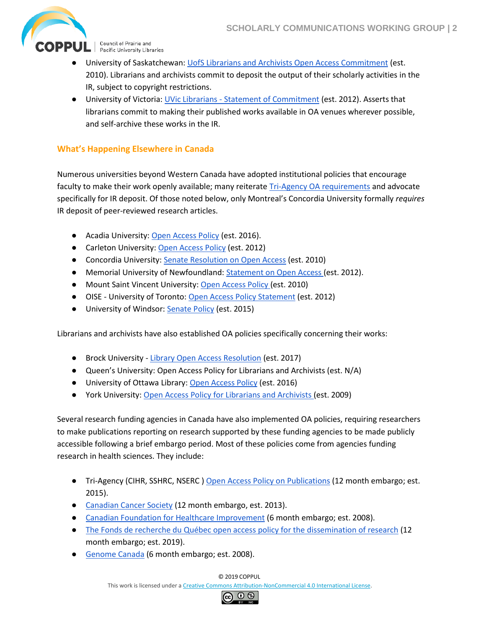

OPPUL | Council of Prairie and

- University of Saskatchewan: [UofS Librarians and Archivists Open Access Commitment](http://libguides.usask.ca/c.php?g=16375&p=90319) (est. 2010). Librarians and archivists commit to deposit the output of their scholarly activities in the IR, subject to copyright restrictions.
- University of Victoria: UVic Librarians [Statement of Commitment](https://www.uvic.ca/library/featured/scholcomm/policy/uviclibrarians.php) (est. 2012). Asserts that librarians commit to making their published works available in OA venues wherever possible, and self-archive these works in the IR.

## **What's Happening Elsewhere in Canada**

Numerous universities beyond Western Canada have adopted institutional policies that encourage faculty to make their work openly available; many reiterate [Tri-Agency OA requirements](http://www.science.gc.ca/eic/site/063.nsf/eng/h_F6765465.html?OpenDocument) and advocate specifically for IR deposit. Of those noted below, only Montreal's Concordia University formally *requires* IR deposit of peer-reviewed research articles.

- Acadia University: [Open Access Policy](https://ospolicyobservatory.uvic.ca/wp-content/uploads/00514.pdf) (est. 2016).
- Carleton University: [Open Access Policy](https://library.carleton.ca/sites/default/files/about/projects/OA%20Policy%20-%20ARC%20version.pdf) (est. 2012)
- Concordia University: [Senate Resolution on Open Access](https://library.concordia.ca/help/open-access/SenateResolutiononOpenAccess.pdf) (est. 2010)
- Memorial University of Newfoundland: [Statement on Open Access \(](https://www.open.mun.ca/MUN_Statement_on_Open_Access-1.pdf)est. 2012).
- Mount Saint Vincent University: [Open Access Policy \(](http://dc.msvu.ca:8080/xmlui/themes/msvu_ir/static/MSVU-OA-policy.pdf)est. 2010)
- OISE University of Toronto[: Open Access Policy Statement](https://www.oise.utoronto.ca/research/UserFiles/File/OA_Policy.pdf) (est. 2012)
- University of Windsor: **Senate Policy** (est. 2015)

Librarians and archivists have also established OA policies specifically concerning their works:

- Brock University [Library Open Access Resolution](https://brocku.ca/library/teach-publish/open-access/resolution/) (est. 2017)
- Queen's University: Open Access Policy for Librarians and Archivists (est. N/A)
- University of Ottawa Library: [Open Access Policy](http://biblio.uottawa.ca/en/about/policies-and-reports/open-access-policy) (est. 2016)
- York University: [Open Access Policy for Librarians and Archivists \(](https://www.library.yorku.ca/cms/open-access/)est. 2009)

Several research funding agencies in Canada have also implemented OA policies, requiring researchers to make publications reporting on research supported by these funding agencies to be made publicly accessible following a brief embargo period. Most of these policies come from agencies funding research in health sciences. They include:

- Tri-Agency (CIHR, SSHRC, NSERC[\) Open Access Policy on Publications](http://www.cihr-irsc.gc.ca/e/32005.html) (12 month embargo; est. 2015).
- [Canadian Cancer Society](http://www.cancer.ca/en/research/policies-and-administration/policies/open-access-policy/) (12 month embargo, est. 2013).
- [Canadian Foundation for Healthcare Improvement](https://www.cfhi-fcass.ca/PublicationsAndResources/OpenAccessPolicy.aspx) (6 month embargo; est. 2008).
- [The Fonds de recherche du Québec open access policy for the dissemination of research](http://www.frqsc.gouv.qc.ca/en/science-ouverte) (12 month embargo; est. 2019).
- [Genome Canada](https://www.genomecanada.ca/sites/default/files/publications/gcdatasharingpolicies16-09-23.pdf) (6 month embargo; est. 2008).

© 2019 COPPUL

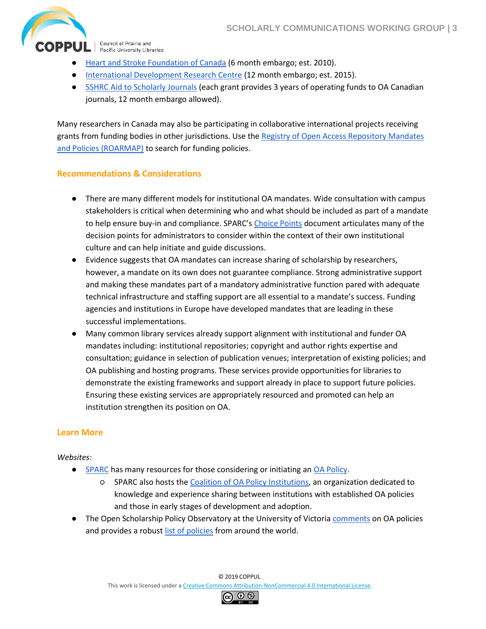

Council of Prairie and Pacific University Libraries

- [Heart and Stroke Foundation of Canada](https://web.archive.org/save/http:/www.hsf.ca/research/en/heart-stroke-open-access-research-outputs-policy-guidelines) (6 month embargo; est. 2010).
- [International Development Research Centre](https://www.idrc.ca/en/open-access-policy-idrc-funded-project-outputs) (12 month embargo; est. 2015).
- [SSHRC Aid to Scholarly Journals](http://www.sshrc-crsh.gc.ca/funding-financement/programs-programmes/scholarly_journals-revues_savantes-eng.aspx) (each grant provides 3 years of operating funds to OA Canadian journals, 12 month embargo allowed).

Many researchers in Canada may also be participating in collaborative international projects receiving grants from funding bodies in other jurisdictions. Use th[e Registry of Open Access Repository Mandates](http://roarmap.eprints.org/)  [and Policies \(ROARMAP\)](http://roarmap.eprints.org/) to search for funding policies.

#### **Recommendations & Considerations**

- There are many different models for institutional OA mandates. Wide consultation with campus stakeholders is critical when determining who and what should be included as part of a mandate to help ensure buy-in and compliance. SPARC's [Choice Points](https://sparcopen.org/wp-content/uploads/2016/01/Choice-Points_FINAL.pdf) document articulates many of the decision points for administrators to consider within the context of their own institutional culture and can help initiate and guide discussions.
- Evidence suggests that OA mandates can increase sharing of scholarship by researchers, however, a mandate on its own does not guarantee compliance. Strong administrative support and making these mandates part of a mandatory administrative function pared with adequate technical infrastructure and staffing support are all essential to a mandate's success. Funding agencies and institutions in Europe have developed mandates that are leading in these successful implementations.
- Many common library services already support alignment with institutional and funder OA mandates including: institutional repositories; copyright and author rights expertise and consultation; guidance in selection of publication venues; interpretation of existing policies; and OA publishing and hosting programs. These services provide opportunities for libraries to demonstrate the existing frameworks and support already in place to support future policies. Ensuring these existing services are appropriately resourced and promoted can help an institution strengthen its position on OA.

## **Learn More**

#### *Websites:*

- [SPARC](https://sparcopen.org/) has many resources for those considering or initiating an [OA Policy.](https://sparcopen.org/our-work/campus-open-access-policies/)
	- SPARC also hosts th[e Coalition of OA Policy Institutions,](https://sparcopen.org/coapi/) an organization dedicated to knowledge and experience sharing between institutions with established OA policies and those in early stages of development and adoption.
- **•** The Open Scholarship Policy Observatory at the University of Victoria *comments* on OA policies and provides a robus[t list of policies](https://ospolicyobservatory.uvic.ca/institutional-policies/) from around the world.